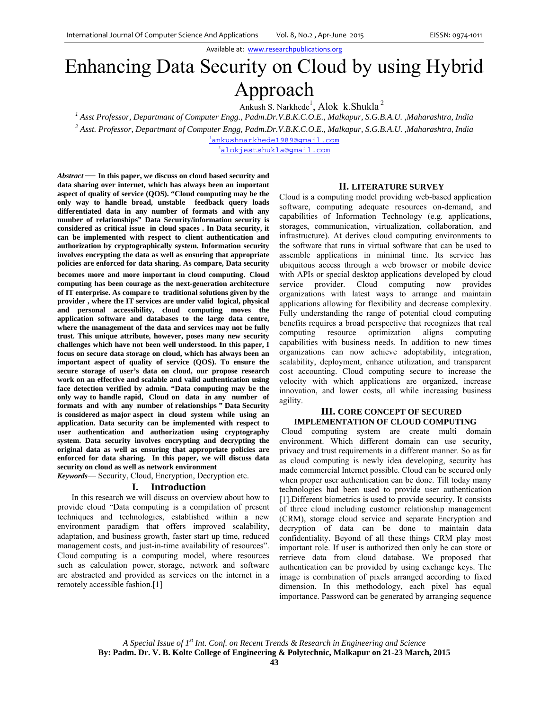Available at: www.researchpublications.org

# Enhancing Data Security on Cloud by using Hybrid Approach

Ankush S. Narkhede<sup>1</sup>, Alok k.Shukla<sup>2</sup>

*1 Asst Professor, Departmant of Computer Engg., Padm.Dr.V.B.K.C.O.E., Malkapur, S.G.B.A.U. ,Maharashtra, India 2*

 *Asst. Professor, Departmant of Computer Engg, Padm.Dr.V.B.K.C.O.E., Malkapur, S.G.B.A.U. ,Maharashtra, India* 

<sup>1</sup>ankushnarkhede1989@gmail.com

alokjestshukla@gmail.com

*Abstract* — **In this paper, we discuss on cloud based security and data sharing over internet, which has always been an important aspect of quality of service (QOS). "Cloud computing may be the only way to handle broad, unstable feedback query loads differentiated data in any number of formats and with any number of relationships" Data Security/information security is considered as critical issue in cloud spaces . In Data security, it can be implemented with respect to client authentication and authorization by cryptographically system. Information security involves encrypting the data as well as ensuring that appropriate policies are enforced for data sharing. As compare, Data security** 

**becomes more and more important in cloud computing**. **Cloud computing has been courage as the next-generation architecture of IT enterprise. As compare to traditional solutions given by the provider , where the IT services are under valid logical, physical and personal accessibility, cloud computing moves the application software and databases to the large data centre, where the management of the data and services may not be fully trust. This unique attribute, however, poses many new security challenges which have not been well understood. In this paper, I focus on secure data storage on cloud, which has always been an important aspect of quality of service (QOS). To ensure the secure storage of user's data on cloud, our propose research work on an effective and scalable and valid authentication using face detection verified by admin. "Data computing may be the only way to handle rapid, Cloud on data in any number of formats and with any number of relationships " Data Security is considered as major aspect in cloud system while using an application. Data security can be implemented with respect to user authentication and authorization using cryptography system. Data security involves encrypting and decrypting the original data as well as ensuring that appropriate policies are enforced for data sharing. In this paper, we will discuss data security on cloud as well as network environment** 

*Keywords*— Security, Cloud, Encryption, Decryption etc.

# **I. Introduction**

 In this research we will discuss on overview about how to provide cloud "Data computing is a compilation of present techniques and technologies, established within a new environment paradigm that offers improved scalability, adaptation, and business growth, faster start up time, reduced management costs, and just-in-time availability of resources". Cloud computing is a computing model, where resources such as calculation power, storage, network and software are abstracted and provided as services on the internet in a remotely accessible fashion.[1]

### **II. LITERATURE SURVEY**

Cloud is a computing model providing web-based application software, computing adequate resources on-demand, and capabilities of Information Technology (e.g. applications, storages, communication, virtualization, collaboration, and infrastructure). At derives cloud computing environments to the software that runs in virtual software that can be used to assemble applications in minimal time. Its service has ubiquitous access through a web browser or mobile device with APIs or special desktop applications developed by cloud service provider. Cloud computing now provides organizations with latest ways to arrange and maintain applications allowing for flexibility and decrease complexity. Fully understanding the range of potential cloud computing benefits requires a broad perspective that recognizes that real computing resource optimization aligns computing capabilities with business needs. In addition to new times organizations can now achieve adoptability, integration, scalability, deployment, enhance utilization, and transparent cost accounting. Cloud computing secure to increase the velocity with which applications are organized, increase innovation, and lower costs, all while increasing business agility.

# **III. CORE CONCEPT OF SECURED IMPLEMENTATION OF CLOUD COMPUTING**

 Cloud computing system are create multi domain environment. Which different domain can use security, privacy and trust requirements in a different manner. So as far as cloud computing is newly idea developing, security has made commercial Internet possible. Cloud can be secured only when proper user authentication can be done. Till today many technologies had been used to provide user authentication [1].Different biometrics is used to provide security. It consists of three cloud including customer relationship management (CRM), storage cloud service and separate Encryption and decryption of data can be done to maintain data confidentiality. Beyond of all these things CRM play most important role. If user is authorized then only he can store or retrieve data from cloud database. We proposed that authentication can be provided by using exchange keys. The image is combination of pixels arranged according to fixed dimension. In this methodology, each pixel has equal importance. Password can be generated by arranging sequence

*A Special Issue of 1st Int. Conf. on Recent Trends & Research in Engineering and Science*  **By: Padm. Dr. V. B. Kolte College of Engineering & Polytechnic, Malkapur on 21-23 March, 2015**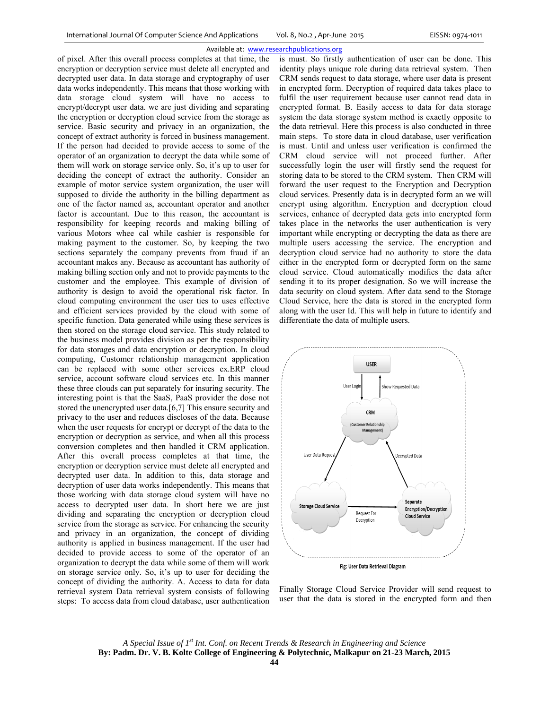#### Available at: www.researchpublications.org

of pixel. After this overall process completes at that time, the encryption or decryption service must delete all encrypted and decrypted user data. In data storage and cryptography of user data works independently. This means that those working with data storage cloud system will have no access to encrypt/decrypt user data. we are just dividing and separating the encryption or decryption cloud service from the storage as service. Basic security and privacy in an organization, the concept of extract authority is forced in business management. If the person had decided to provide access to some of the operator of an organization to decrypt the data while some of them will work on storage service only. So, it's up to user for deciding the concept of extract the authority. Consider an example of motor service system organization, the user will supposed to divide the authority in the billing department as one of the factor named as, accountant operator and another factor is accountant. Due to this reason, the accountant is responsibility for keeping records and making billing of various Motors whee cal while cashier is responsible for making payment to the customer. So, by keeping the two sections separately the company prevents from fraud if an accountant makes any. Because as accountant has authority of making billing section only and not to provide payments to the customer and the employee. This example of division of authority is design to avoid the operational risk factor. In cloud computing environment the user ties to uses effective and efficient services provided by the cloud with some of specific function. Data generated while using these services is then stored on the storage cloud service. This study related to the business model provides division as per the responsibility for data storages and data encryption or decryption. In cloud computing, Customer relationship management application can be replaced with some other services ex.ERP cloud service, account software cloud services etc. In this manner these three clouds can put separately for insuring security. The interesting point is that the SaaS, PaaS provider the dose not stored the unencrypted user data.[6,7] This ensure security and privacy to the user and reduces discloses of the data. Because when the user requests for encrypt or decrypt of the data to the encryption or decryption as service, and when all this process conversion completes and then handled it CRM application. After this overall process completes at that time, the encryption or decryption service must delete all encrypted and decrypted user data. In addition to this, data storage and decryption of user data works independently. This means that those working with data storage cloud system will have no access to decrypted user data. In short here we are just dividing and separating the encryption or decryption cloud service from the storage as service. For enhancing the security and privacy in an organization, the concept of dividing authority is applied in business management. If the user had decided to provide access to some of the operator of an organization to decrypt the data while some of them will work on storage service only. So, it's up to user for deciding the concept of dividing the authority. A. Access to data for data retrieval system Data retrieval system consists of following steps: To access data from cloud database, user authentication

is must. So firstly authentication of user can be done. This identity plays unique role during data retrieval system. Then CRM sends request to data storage, where user data is present in encrypted form. Decryption of required data takes place to fulfil the user requirement because user cannot read data in encrypted format. B. Easily access to data for data storage system the data storage system method is exactly opposite to the data retrieval. Here this process is also conducted in three main steps. To store data in cloud database, user verification is must. Until and unless user verification is confirmed the CRM cloud service will not proceed further. After successfully login the user will firstly send the request for storing data to be stored to the CRM system. Then CRM will forward the user request to the Encryption and Decryption cloud services. Presently data is in decrypted form an we will encrypt using algorithm. Encryption and decryption cloud services, enhance of decrypted data gets into encrypted form takes place in the networks the user authentication is very important while encrypting or decrypting the data as there are multiple users accessing the service. The encryption and decryption cloud service had no authority to store the data either in the encrypted form or decrypted form on the same cloud service. Cloud automatically modifies the data after sending it to its proper designation. So we will increase the data security on cloud system. After data send to the Storage Cloud Service, here the data is stored in the encrypted form along with the user Id. This will help in future to identify and differentiate the data of multiple users.



Finally Storage Cloud Service Provider will send request to user that the data is stored in the encrypted form and then

*A Special Issue of 1st Int. Conf. on Recent Trends & Research in Engineering and Science*  **By: Padm. Dr. V. B. Kolte College of Engineering & Polytechnic, Malkapur on 21-23 March, 2015**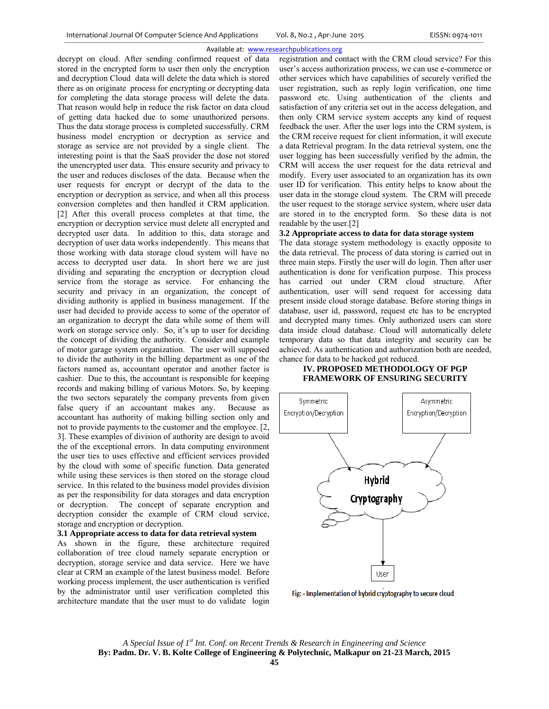#### Available at: www.researchpublications.org

decrypt on cloud. After sending confirmed request of data stored in the encrypted form to user then only the encryption and decryption Cloud data will delete the data which is stored there as on originate process for encrypting or decrypting data for completing the data storage process will delete the data. That reason would help in reduce the risk factor on data cloud of getting data hacked due to some unauthorized persons. Thus the data storage process is completed successfully. CRM business model encryption or decryption as service and storage as service are not provided by a single client. The interesting point is that the SaaS provider the dose not stored the unencrypted user data. This ensure security and privacy to the user and reduces discloses of the data. Because when the user requests for encrypt or decrypt of the data to the encryption or decryption as service, and when all this process conversion completes and then handled it CRM application. [2] After this overall process completes at that time, the encryption or decryption service must delete all encrypted and decrypted user data. In addition to this, data storage and decryption of user data works independently. This means that those working with data storage cloud system will have no access to decrypted user data. In short here we are just dividing and separating the encryption or decryption cloud service from the storage as service. For enhancing the security and privacy in an organization, the concept of dividing authority is applied in business management. If the user had decided to provide access to some of the operator of an organization to decrypt the data while some of them will work on storage service only. So, it's up to user for deciding the concept of dividing the authority. Consider and example of motor garage system organization. The user will supposed to divide the authority in the billing department as one of the factors named as, accountant operator and another factor is cashier. Due to this, the accountant is responsible for keeping records and making billing of various Motors. So, by keeping the two sectors separately the company prevents from given false query if an accountant makes any. Because as accountant has authority of making billing section only and not to provide payments to the customer and the employee. [2, 3]. These examples of division of authority are design to avoid the of the exceptional errors. In data computing environment the user ties to uses effective and efficient services provided by the cloud with some of specific function. Data generated while using these services is then stored on the storage cloud service. In this related to the business model provides division as per the responsibility for data storages and data encryption or decryption. The concept of separate encryption and decryption consider the example of CRM cloud service, storage and encryption or decryption.

#### **3.1 Appropriate access to data for data retrieval system**

As shown in the figure, these architecture required collaboration of tree cloud namely separate encryption or decryption, storage service and data service. Here we have clear at CRM an example of the latest business model. Before working process implement, the user authentication is verified by the administrator until user verification completed this architecture mandate that the user must to do validate login

registration and contact with the CRM cloud service? For this user's access authorization process, we can use e-commerce or other services which have capabilities of securely verified the user registration, such as reply login verification, one time password etc. Using authentication of the clients and satisfaction of any criteria set out in the access delegation, and then only CRM service system accepts any kind of request feedback the user. After the user logs into the CRM system, is the CRM receive request for client information, it will execute a data Retrieval program. In the data retrieval system, one the user logging has been successfully verified by the admin, the CRM will access the user request for the data retrieval and modify. Every user associated to an organization has its own user ID for verification. This entity helps to know about the user data in the storage cloud system. The CRM will precede the user request to the storage service system, where user data are stored in to the encrypted form. So these data is not readable by the user.[2]

## **3.2 Appropriate access to data for data storage system**

The data storage system methodology is exactly opposite to the data retrieval. The process of data storing is carried out in three main steps. Firstly the user will do login. Then after user authentication is done for verification purpose. This process has carried out under CRM cloud structure. After authentication, user will send request for accessing data present inside cloud storage database. Before storing things in database, user id, password, request etc has to be encrypted and decrypted many times. Only authorized users can store data inside cloud database. Cloud will automatically delete temporary data so that data integrity and security can be achieved. As authentication and authorization both are needed, chance for data to be hacked got reduced.

# **IV. PROPOSED METHODOLOGY OF PGP FRAMEWORK OF ENSURING SECURITY**



Fig: - Implementation of hybrid cryptography to secure cloud

*A Special Issue of 1st Int. Conf. on Recent Trends & Research in Engineering and Science*  **By: Padm. Dr. V. B. Kolte College of Engineering & Polytechnic, Malkapur on 21-23 March, 2015**